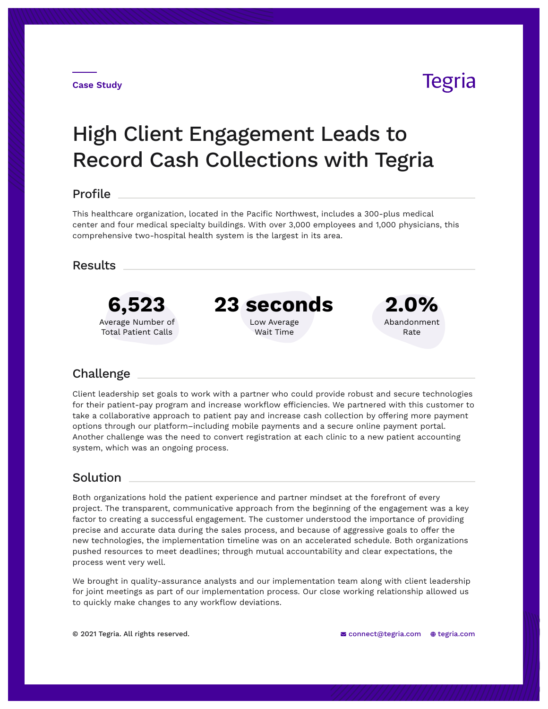## **Tegria**

# High Client Engagement Leads to Record Cash Collections with Tegria

#### Profile

This healthcare organization, located in the Pacific Northwest, includes a 300-plus medical center and four medical specialty buildings. With over 3,000 employees and 1,000 physicians, this comprehensive two-hospital health system is the largest in its area.

### Results



### Challenge

Client leadership set goals to work with a partner who could provide robust and secure technologies for their patient-pay program and increase workflow efficiencies. We partnered with this customer to take a collaborative approach to patient pay and increase cash collection by offering more payment options through our platform–including mobile payments and a secure online payment portal. Another challenge was the need to convert registration at each clinic to a new patient accounting system, which was an ongoing process.

#### Solution

Both organizations hold the patient experience and partner mindset at the forefront of every project. The transparent, communicative approach from the beginning of the engagement was a key factor to creating a successful engagement. The customer understood the importance of providing precise and accurate data during the sales process, and because of aggressive goals to offer the new technologies, the implementation timeline was on an accelerated schedule. Both organizations pushed resources to meet deadlines; through mutual accountability and clear expectations, the process went very well.

We brought in quality-assurance analysts and our implementation team along with client leadership for joint meetings as part of our implementation process. Our close working relationship allowed us to quickly make changes to any workflow deviations.